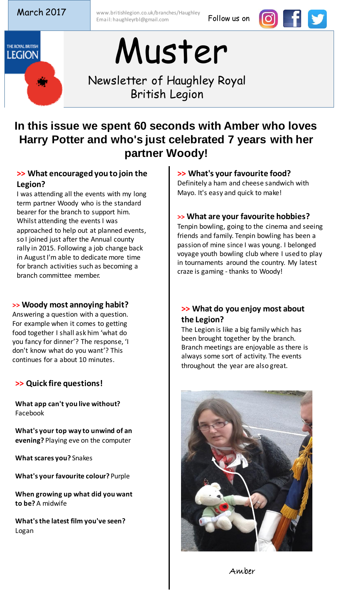March 2017 Www.britishlegion.co.uk/branches/Haughley Email: haughleyrbl@gmail.com **Follow us on** 





# Muster

Newsletter of Haughley Royal British Legion

### **In this issue we spent 60 seconds with Amber who loves Harry Potter and who's just celebrated 7 years with her partner Woody!**

#### **>> What encouraged you to join the Legion?**

I was attending all the events with my long term partner Woody who is the standard bearer for the branch to support him. Whilst attending the events I was approached to help out at planned events, so I joined just after the Annual county rally in 2015. Following a job change back in August I'm able to dedicate more time for branch activities such as becoming a branch committee member.

#### **>> Woody most annoying habit?**

Answering a question with a question. For example when it comes to getting food together I shall ask him 'what do you fancy for dinner'? The response, 'I don't know what do you want'? This continues for a about 10 minutes.

#### **>> Quick fire questions!**

**What app can't you live without?**  Facebook

**What's your top way to unwind of an evening?** Playing eve on the computer

**What scares you?** Snakes

**What's your favourite colour?** Purple

**When growing up what did you want to be?** A midwife

**What's the latest film you've seen?**  Logan

#### **>> What's your favourite food?**

Definitely a ham and cheese sandwich with Mayo. It's easy and quick to make!

#### **>> What are your favourite hobbies?**

Tenpin bowling, going to the cinema and seeing friends and family. Tenpin bowling has been a passion of mine since I was young. I belonged voyage youth bowling club where I used to play in tournaments around the country. My latest craze is gaming - thanks to Woody!

#### **>> What do you enjoy most about the Legion?**

The Legion is like a big family which has been brought together by the branch. Branch meetings are enjoyable as there is always some sort of activity. The events throughout the year are also great.



Amber